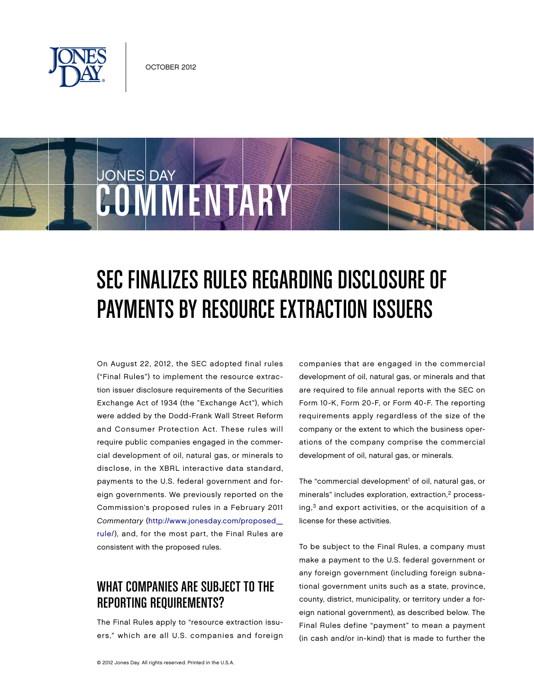

COMMENTARY

JONES DAY

# SEC Finalizes Rules Regarding Disclosure Of Payments By Resource Extraction Issuers

On August 22, 2012, the SEC adopted final rules ("Final Rules") to implement the resource extraction issuer disclosure requirements of the Securities Exchange Act of 1934 (the "Exchange Act"), which were added by the Dodd-Frank Wall Street Reform and Consumer Protection Act. These rules will require public companies engaged in the commercial development of oil, natural gas, or minerals to disclose, in the XBRL interactive data standard, payments to the U.S. federal government and foreign governments. We previously reported on the Commission's proposed rules in a February 2011 Commentary [\(http://www.jonesday.com/proposed\\_](http://www.jonesday.com/proposed_rule/) [rule/\), a](http://www.jonesday.com/proposed_rule/)nd, for the most part, the Final Rules are consistent with the proposed rules.

# WHAT COMPANIES ARE SUBJECT TO THE Reporting Requirements?

The Final Rules apply to "resource extraction issuers," which are all U.S. companies and foreign companies that are engaged in the commercial development of oil, natural gas, or minerals and that are required to file annual reports with the SEC on Form 10-K, Form 20-F, or Form 40-F. The reporting requirements apply regardless of the size of the company or the extent to which the business operations of the company comprise the commercial development of oil, natural gas, or minerals.

The "commercial development<sup>1</sup> of oil, natural gas, or minerals" includes exploration, extraction,<sup>2</sup> process $ing<sub>1</sub><sup>3</sup>$  and export activities, or the acquisition of a license for these activities.

To be subject to the Final Rules, a company must make a payment to the U.S. federal government or any foreign government (including foreign subnational government units such as a state, province, county, district, municipality, or territory under a foreign national government), as described below. The Final Rules define "payment" to mean a payment (in cash and/or in-kind) that is made to further the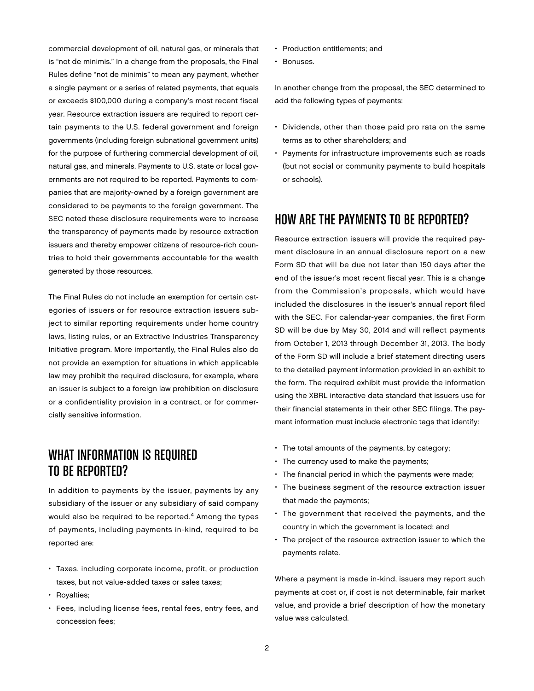commercial development of oil, natural gas, or minerals that is "not de minimis." In a change from the proposals, the Final Rules define "not de minimis" to mean any payment, whether a single payment or a series of related payments, that equals or exceeds \$100,000 during a company's most recent fiscal year. Resource extraction issuers are required to report certain payments to the U.S. federal government and foreign governments (including foreign subnational government units) for the purpose of furthering commercial development of oil, natural gas, and minerals. Payments to U.S. state or local governments are not required to be reported. Payments to companies that are majority-owned by a foreign government are considered to be payments to the foreign government. The SEC noted these disclosure requirements were to increase the transparency of payments made by resource extraction issuers and thereby empower citizens of resource-rich countries to hold their governments accountable for the wealth generated by those resources.

The Final Rules do not include an exemption for certain categories of issuers or for resource extraction issuers subject to similar reporting requirements under home country laws, listing rules, or an Extractive Industries Transparency Initiative program. More importantly, the Final Rules also do not provide an exemption for situations in which applicable law may prohibit the required disclosure, for example, where an issuer is subject to a foreign law prohibition on disclosure or a confidentiality provision in a contract, or for commercially sensitive information.

# What Information is Required to be Reported?

In addition to payments by the issuer, payments by any subsidiary of the issuer or any subsidiary of said company would also be required to be reported.4 Among the types of payments, including payments in-kind, required to be reported are:

- Taxes, including corporate income, profit, or production taxes, but not value-added taxes or sales taxes;
- Royalties;
- Fees, including license fees, rental fees, entry fees, and concession fees;
- Production entitlements; and
- Bonuses.

In another change from the proposal, the SEC determined to add the following types of payments:

- Dividends, other than those paid pro rata on the same terms as to other shareholders; and
- Payments for infrastructure improvements such as roads (but not social or community payments to build hospitals or schools).

### How are the Payments to be Reported?

Resource extraction issuers will provide the required payment disclosure in an annual disclosure report on a new Form SD that will be due not later than 150 days after the end of the issuer's most recent fiscal year. This is a change from the Commission's proposals, which would have included the disclosures in the issuer's annual report filed with the SEC. For calendar-year companies, the first Form SD will be due by May 30, 2014 and will reflect payments from October 1, 2013 through December 31, 2013. The body of the Form SD will include a brief statement directing users to the detailed payment information provided in an exhibit to the form. The required exhibit must provide the information using the XBRL interactive data standard that issuers use for their financial statements in their other SEC filings. The payment information must include electronic tags that identify:

- The total amounts of the payments, by category;
- The currency used to make the payments;
- The financial period in which the payments were made;
- The business segment of the resource extraction issuer that made the payments;
- The government that received the payments, and the country in which the government is located; and
- The project of the resource extraction issuer to which the payments relate.

Where a payment is made in-kind, issuers may report such payments at cost or, if cost is not determinable, fair market value, and provide a brief description of how the monetary value was calculated.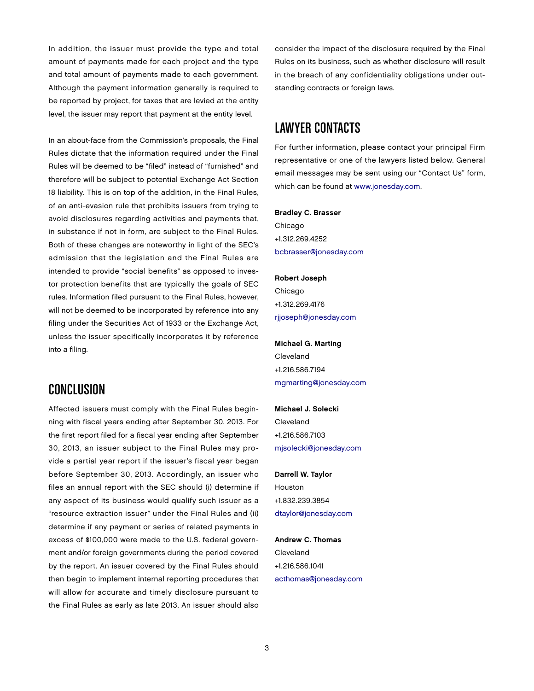In addition, the issuer must provide the type and total amount of payments made for each project and the type and total amount of payments made to each government. Although the payment information generally is required to be reported by project, for taxes that are levied at the entity level, the issuer may report that payment at the entity level.

In an about-face from the Commission's proposals, the Final Rules dictate that the information required under the Final Rules will be deemed to be "filed" instead of "furnished" and therefore will be subject to potential Exchange Act Section 18 liability. This is on top of the addition, in the Final Rules, of an anti-evasion rule that prohibits issuers from trying to avoid disclosures regarding activities and payments that, in substance if not in form, are subject to the Final Rules. Both of these changes are noteworthy in light of the SEC's admission that the legislation and the Final Rules are intended to provide "social benefits" as opposed to investor protection benefits that are typically the goals of SEC rules. Information filed pursuant to the Final Rules, however, will not be deemed to be incorporated by reference into any filing under the Securities Act of 1933 or the Exchange Act, unless the issuer specifically incorporates it by reference into a filing.

#### **CONCLUSION**

Affected issuers must comply with the Final Rules beginning with fiscal years ending after September 30, 2013. For the first report filed for a fiscal year ending after September 30, 2013, an issuer subject to the Final Rules may provide a partial year report if the issuer's fiscal year began before September 30, 2013. Accordingly, an issuer who files an annual report with the SEC should (i) determine if any aspect of its business would qualify such issuer as a "resource extraction issuer" under the Final Rules and (ii) determine if any payment or series of related payments in excess of \$100,000 were made to the U.S. federal government and/or foreign governments during the period covered by the report. An issuer covered by the Final Rules should then begin to implement internal reporting procedures that will allow for accurate and timely disclosure pursuant to the Final Rules as early as late 2013. An issuer should also

consider the impact of the disclosure required by the Final Rules on its business, such as whether disclosure will result in the breach of any confidentiality obligations under outstanding contracts or foreign laws.

## Lawyer Contacts

For further information, please contact your principal Firm representative or one of the lawyers listed below. General email messages may be sent using our "Contact Us" form, which can be found at [www.jonesday.com.](http://www.jonesday.com) 

#### Bradley C. Brasser

Chicago +1.312.269.4252 [bcbrasser@jonesday.com](mailto:bcbrasser@jonesday.com)

Robert Joseph Chicago +1.312.269.4176 [rjjoseph@jonesday.com](mailto:rjjoseph@jonesday.com)

Michael G. Marting Cleveland +1.216.586.7194 [mgmarting@jonesday.com](mailto:mgmarting@jonesday.com)

Michael J. Solecki Cleveland +1.216.586.7103 [mjsolecki@jonesday.com](mailto:mjsolecki@jonesday.com)

Darrell W. Taylor Houston +1.832.239.3854 [dtaylor@jonesday.com](mailto:dtaylor@jonesday.com)

Andrew C. Thomas Cleveland +1.216.586.1041 [acthomas@jonesday.com](mailto:acthomas@jonesday.com)